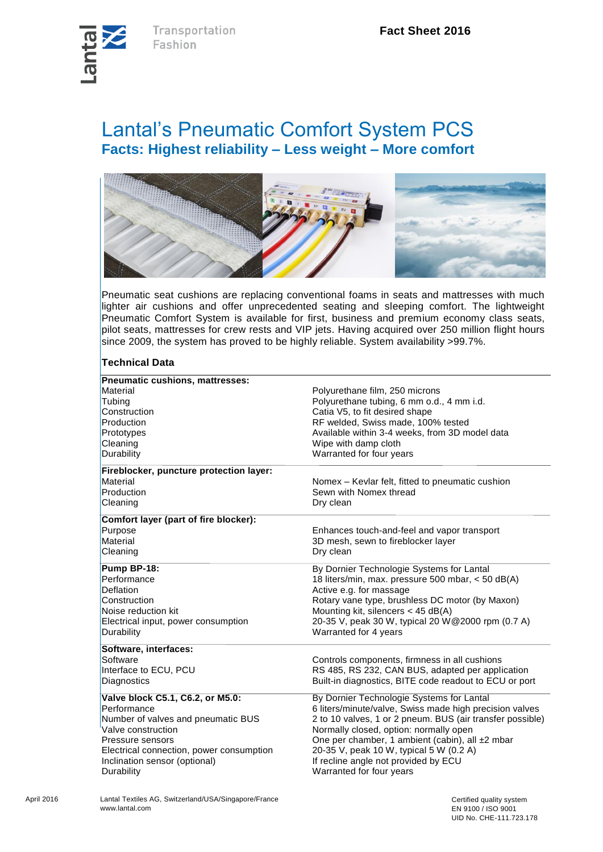

## Lantal's Pneumatic Comfort System PCS **Facts: Highest reliability – Less weight – More comfort**



Pneumatic seat cushions are replacing conventional foams in seats and mattresses with much lighter air cushions and offer unprecedented seating and sleeping comfort. The lightweight Pneumatic Comfort System is available for first, business and premium economy class seats, pilot seats, mattresses for crew rests and VIP jets. Having acquired over 250 million flight hours since 2009, the system has proved to be highly reliable. System availability >99.7%.

## **Technical Data**

| Pneumatic cushions, mattresses:          |                                                           |  |
|------------------------------------------|-----------------------------------------------------------|--|
| Material                                 | Polyurethane film, 250 microns                            |  |
| Tubing                                   | Polyurethane tubing, 6 mm o.d., 4 mm i.d.                 |  |
| Construction                             | Catia V5, to fit desired shape                            |  |
| Production                               | RF welded, Swiss made, 100% tested                        |  |
| Prototypes                               | Available within 3-4 weeks, from 3D model data            |  |
| Cleaning                                 | Wipe with damp cloth                                      |  |
| Durability                               | Warranted for four years                                  |  |
| Fireblocker, puncture protection layer:  |                                                           |  |
| Material                                 | Nomex – Kevlar felt, fitted to pneumatic cushion          |  |
| Production                               | Sewn with Nomex thread                                    |  |
| Cleaning                                 | Dry clean                                                 |  |
| Comfort layer (part of fire blocker):    |                                                           |  |
| Purpose                                  | Enhances touch-and-feel and vapor transport               |  |
| Material                                 | 3D mesh, sewn to fireblocker layer                        |  |
| Cleaning                                 | Dry clean                                                 |  |
| Pump BP-18:                              | By Dornier Technologie Systems for Lantal                 |  |
| Performance                              | 18 liters/min, max. pressure 500 mbar, < 50 dB(A)         |  |
| <b>Deflation</b>                         | Active e.g. for massage                                   |  |
| Construction                             | Rotary vane type, brushless DC motor (by Maxon)           |  |
| Noise reduction kit                      | Mounting kit, silencers $<$ 45 dB(A)                      |  |
| Electrical input, power consumption      | 20-35 V, peak 30 W, typical 20 W@2000 rpm (0.7 A)         |  |
| Durability                               | Warranted for 4 years                                     |  |
| Software, interfaces:                    |                                                           |  |
| Software                                 | Controls components, firmness in all cushions             |  |
| Interface to ECU, PCU                    | RS 485, RS 232, CAN BUS, adapted per application          |  |
| Diagnostics                              | Built-in diagnostics, BITE code readout to ECU or port    |  |
| Valve block C5.1, C6.2, or M5.0:         | By Dornier Technologie Systems for Lantal                 |  |
| Performance                              | 6 liters/minute/valve, Swiss made high precision valves   |  |
| Number of valves and pneumatic BUS       | 2 to 10 valves, 1 or 2 pneum. BUS (air transfer possible) |  |
| Valve construction                       | Normally closed, option: normally open                    |  |
| Pressure sensors                         | One per chamber, 1 ambient (cabin), all ±2 mbar           |  |
| Electrical connection, power consumption | 20-35 V, peak 10 W, typical 5 W (0.2 A)                   |  |
| Inclination sensor (optional)            | If recline angle not provided by ECU                      |  |
| Durability                               | Warranted for four years                                  |  |
|                                          |                                                           |  |

April 2016